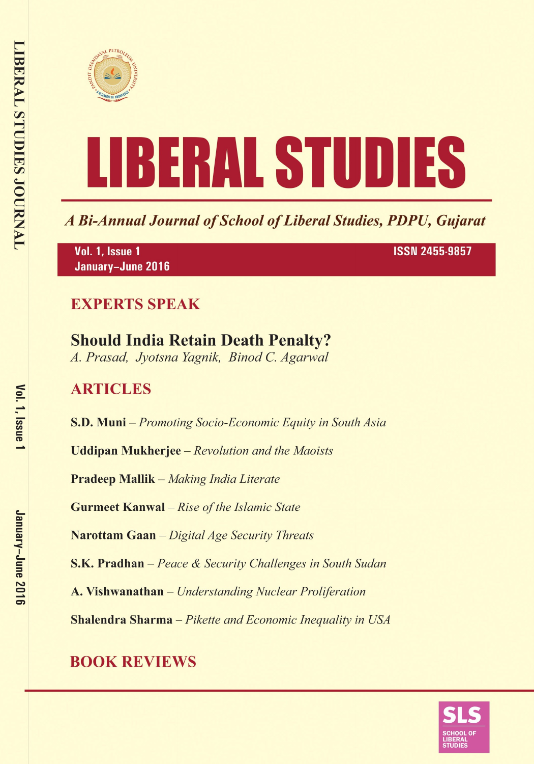



A Bi-Annual Journal of School of Liberal Studies, PDPU, Gujarat

Vol. 1, Issue 1 January-June 2016 **ISSN 2455-9857** 

## **EXPERTS SPEAK**

# **Should India Retain Death Penalty?**

A. Prasad, Jyotsna Yagnik, Binod C. Agarwal

## **ARTICLES**

**S.D. Muni** – Promoting Socio-Economic Equity in South Asia

**Uddipan Mukherjee** – Revolution and the Maoists

**Pradeep Mallik** – Making India Literate

**Gurmeet Kanwal** - Rise of the Islamic State

Narottam Gaan - Digital Age Security Threats

**S.K. Pradhan** – Peace & Security Challenges in South Sudan

A. Vishwanathan - Understanding Nuclear Proliferation

**Shalendra Sharma** - Pikette and Economic Inequality in USA

## **BOOK REVIEWS**

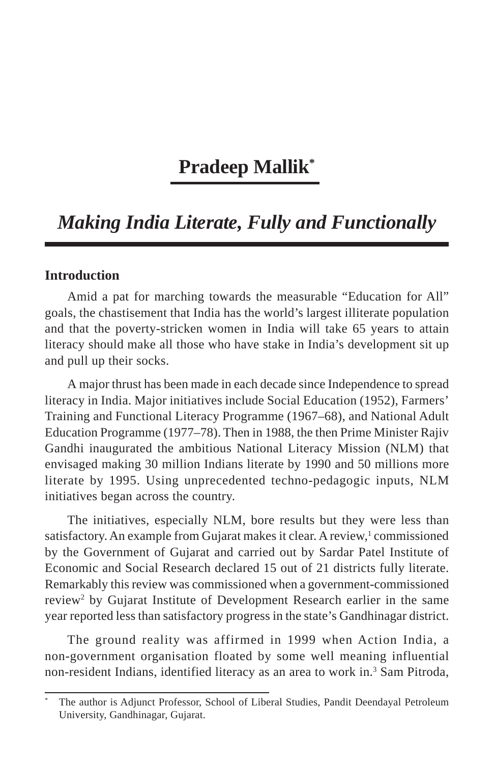### **Pradeep Mallik\***

### *Making India Literate, Fully and Functionally*

#### **Introduction**

Amid a pat for marching towards the measurable "Education for All" goals, the chastisement that India has the world's largest illiterate population and that the poverty-stricken women in India will take 65 years to attain literacy should make all those who have stake in India's development sit up and pull up their socks.

A major thrust has been made in each decade since Independence to spread literacy in India. Major initiatives include Social Education (1952), Farmers' Training and Functional Literacy Programme (1967–68), and National Adult Education Programme (1977–78). Then in 1988, the then Prime Minister Rajiv Gandhi inaugurated the ambitious National Literacy Mission (NLM) that envisaged making 30 million Indians literate by 1990 and 50 millions more literate by 1995. Using unprecedented techno-pedagogic inputs, NLM initiatives began across the country.

The initiatives, especially NLM, bore results but they were less than satisfactory. An example from Gujarat makes it clear. A review,<sup>1</sup> commissioned by the Government of Gujarat and carried out by Sardar Patel Institute of Economic and Social Research declared 15 out of 21 districts fully literate. Remarkably this review was commissioned when a government-commissioned review<sup>2</sup> by Gujarat Institute of Development Research earlier in the same year reported less than satisfactory progress in the state's Gandhinagar district.

The ground reality was affirmed in 1999 when Action India, a non-government organisation floated by some well meaning influential non-resident Indians, identified literacy as an area to work in.<sup>3</sup> Sam Pitroda,

<sup>\*</sup> The author is Adjunct Professor, School of Liberal Studies, Pandit Deendayal Petroleum University, Gandhinagar, Gujarat.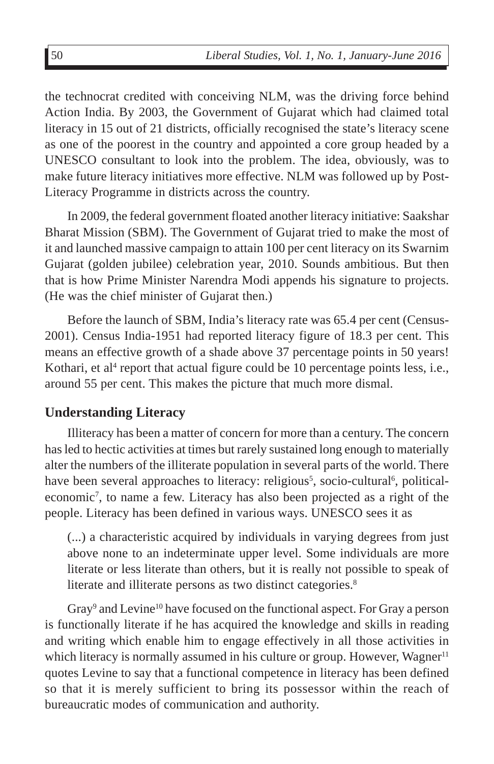the technocrat credited with conceiving NLM, was the driving force behind Action India. By 2003, the Government of Gujarat which had claimed total literacy in 15 out of 21 districts, officially recognised the state's literacy scene as one of the poorest in the country and appointed a core group headed by a UNESCO consultant to look into the problem. The idea, obviously, was to make future literacy initiatives more effective. NLM was followed up by Post-Literacy Programme in districts across the country.

In 2009, the federal government floated another literacy initiative: Saakshar Bharat Mission (SBM). The Government of Gujarat tried to make the most of it and launched massive campaign to attain 100 per cent literacy on its Swarnim Gujarat (golden jubilee) celebration year, 2010. Sounds ambitious. But then that is how Prime Minister Narendra Modi appends his signature to projects. (He was the chief minister of Gujarat then.)

Before the launch of SBM, India's literacy rate was 65.4 per cent (Census-2001). Census India-1951 had reported literacy figure of 18.3 per cent. This means an effective growth of a shade above 37 percentage points in 50 years! Kothari, et al<sup>4</sup> report that actual figure could be 10 percentage points less, i.e., around 55 per cent. This makes the picture that much more dismal.

#### **Understanding Literacy**

Illiteracy has been a matter of concern for more than a century. The concern has led to hectic activities at times but rarely sustained long enough to materially alter the numbers of the illiterate population in several parts of the world. There have been several approaches to literacy: religious<sup>5</sup>, socio-cultural<sup>6</sup>, politicaleconomic<sup>7</sup>, to name a few. Literacy has also been projected as a right of the people. Literacy has been defined in various ways. UNESCO sees it as

(...) a characteristic acquired by individuals in varying degrees from just above none to an indeterminate upper level. Some individuals are more literate or less literate than others, but it is really not possible to speak of literate and illiterate persons as two distinct categories.<sup>8</sup>

Gray<sup>9</sup> and Levine<sup>10</sup> have focused on the functional aspect. For Gray a person is functionally literate if he has acquired the knowledge and skills in reading and writing which enable him to engage effectively in all those activities in which literacy is normally assumed in his culture or group. However, Wagner<sup>11</sup> quotes Levine to say that a functional competence in literacy has been defined so that it is merely sufficient to bring its possessor within the reach of bureaucratic modes of communication and authority.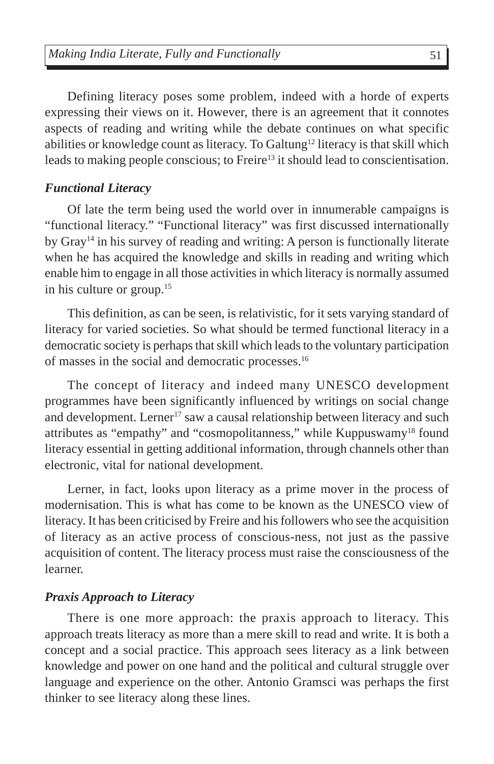Defining literacy poses some problem, indeed with a horde of experts expressing their views on it. However, there is an agreement that it connotes aspects of reading and writing while the debate continues on what specific abilities or knowledge count as literacy. To Galtung<sup>12</sup> literacy is that skill which leads to making people conscious; to Freire<sup>13</sup> it should lead to conscientisation.

#### *Functional Literacy*

Of late the term being used the world over in innumerable campaigns is "functional literacy." "Functional literacy" was first discussed internationally by Gray14 in his survey of reading and writing: A person is functionally literate when he has acquired the knowledge and skills in reading and writing which enable him to engage in all those activities in which literacy is normally assumed in his culture or group.<sup>15</sup>

This definition, as can be seen, is relativistic, for it sets varying standard of literacy for varied societies. So what should be termed functional literacy in a democratic society is perhaps that skill which leads to the voluntary participation of masses in the social and democratic processes.16

The concept of literacy and indeed many UNESCO development programmes have been significantly influenced by writings on social change and development. Lerner<sup>17</sup> saw a causal relationship between literacy and such attributes as "empathy" and "cosmopolitanness," while Kuppuswamy<sup>18</sup> found literacy essential in getting additional information, through channels other than electronic, vital for national development.

Lerner, in fact, looks upon literacy as a prime mover in the process of modernisation. This is what has come to be known as the UNESCO view of literacy. It has been criticised by Freire and his followers who see the acquisition of literacy as an active process of conscious-ness, not just as the passive acquisition of content. The literacy process must raise the consciousness of the learner.

#### *Praxis Approach to Literacy*

There is one more approach: the praxis approach to literacy. This approach treats literacy as more than a mere skill to read and write. It is both a concept and a social practice. This approach sees literacy as a link between knowledge and power on one hand and the political and cultural struggle over language and experience on the other. Antonio Gramsci was perhaps the first thinker to see literacy along these lines.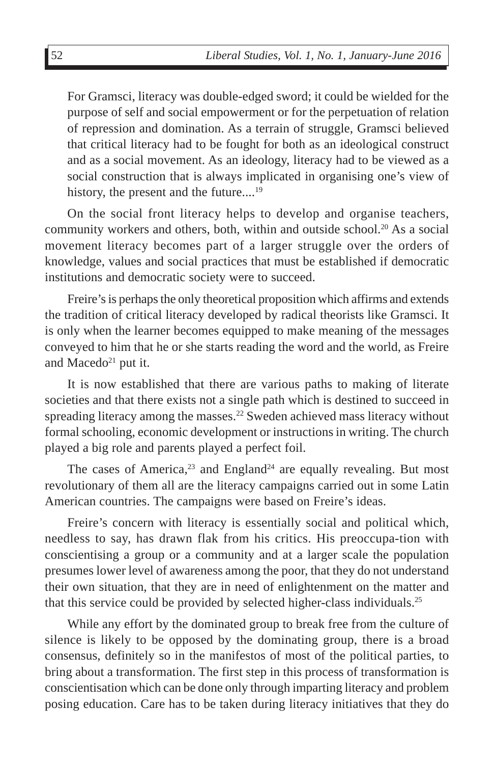For Gramsci, literacy was double-edged sword; it could be wielded for the purpose of self and social empowerment or for the perpetuation of relation of repression and domination. As a terrain of struggle, Gramsci believed that critical literacy had to be fought for both as an ideological construct and as a social movement. As an ideology, literacy had to be viewed as a social construction that is always implicated in organising one's view of history, the present and the future....<sup>19</sup>

On the social front literacy helps to develop and organise teachers, community workers and others, both, within and outside school.20 As a social movement literacy becomes part of a larger struggle over the orders of knowledge, values and social practices that must be established if democratic institutions and democratic society were to succeed.

Freire's is perhaps the only theoretical proposition which affirms and extends the tradition of critical literacy developed by radical theorists like Gramsci. It is only when the learner becomes equipped to make meaning of the messages conveyed to him that he or she starts reading the word and the world, as Freire and Macedo<sup>21</sup> put it.

It is now established that there are various paths to making of literate societies and that there exists not a single path which is destined to succeed in spreading literacy among the masses.<sup>22</sup> Sweden achieved mass literacy without formal schooling, economic development or instructions in writing. The church played a big role and parents played a perfect foil.

The cases of America, $^{23}$  and England<sup>24</sup> are equally revealing. But most revolutionary of them all are the literacy campaigns carried out in some Latin American countries. The campaigns were based on Freire's ideas.

Freire's concern with literacy is essentially social and political which, needless to say, has drawn flak from his critics. His preoccupa-tion with conscientising a group or a community and at a larger scale the population presumes lower level of awareness among the poor, that they do not understand their own situation, that they are in need of enlightenment on the matter and that this service could be provided by selected higher-class individuals.25

While any effort by the dominated group to break free from the culture of silence is likely to be opposed by the dominating group, there is a broad consensus, definitely so in the manifestos of most of the political parties, to bring about a transformation. The first step in this process of transformation is conscientisation which can be done only through imparting literacy and problem posing education. Care has to be taken during literacy initiatives that they do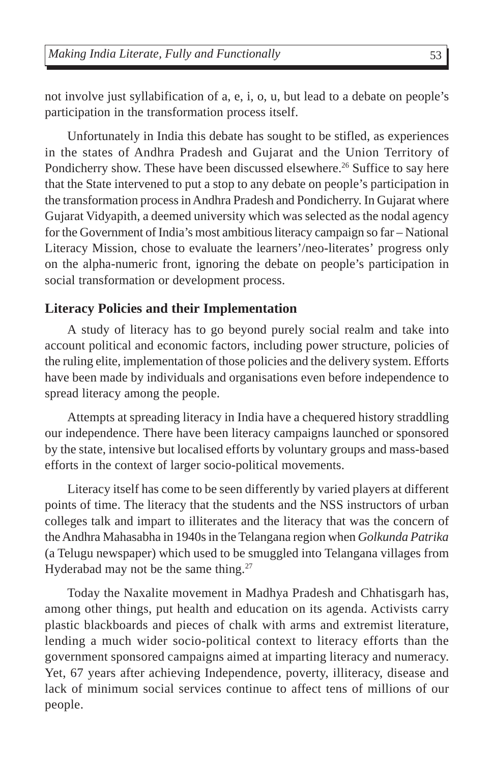not involve just syllabification of a, e, i, o, u, but lead to a debate on people's participation in the transformation process itself.

Unfortunately in India this debate has sought to be stifled, as experiences in the states of Andhra Pradesh and Gujarat and the Union Territory of Pondicherry show. These have been discussed elsewhere.<sup>26</sup> Suffice to say here that the State intervened to put a stop to any debate on people's participation in the transformation process in Andhra Pradesh and Pondicherry. In Gujarat where Gujarat Vidyapith, a deemed university which was selected as the nodal agency for the Government of India's most ambitious literacy campaign so far – National Literacy Mission, chose to evaluate the learners'/neo-literates' progress only on the alpha-numeric front, ignoring the debate on people's participation in social transformation or development process.

#### **Literacy Policies and their Implementation**

A study of literacy has to go beyond purely social realm and take into account political and economic factors, including power structure, policies of the ruling elite, implementation of those policies and the delivery system. Efforts have been made by individuals and organisations even before independence to spread literacy among the people.

Attempts at spreading literacy in India have a chequered history straddling our independence. There have been literacy campaigns launched or sponsored by the state, intensive but localised efforts by voluntary groups and mass-based efforts in the context of larger socio-political movements.

Literacy itself has come to be seen differently by varied players at different points of time. The literacy that the students and the NSS instructors of urban colleges talk and impart to illiterates and the literacy that was the concern of the Andhra Mahasabha in 1940s in the Telangana region when *Golkunda Patrika* (a Telugu newspaper) which used to be smuggled into Telangana villages from Hyderabad may not be the same thing.<sup>27</sup>

Today the Naxalite movement in Madhya Pradesh and Chhatisgarh has, among other things, put health and education on its agenda. Activists carry plastic blackboards and pieces of chalk with arms and extremist literature, lending a much wider socio-political context to literacy efforts than the government sponsored campaigns aimed at imparting literacy and numeracy. Yet, 67 years after achieving Independence, poverty, illiteracy, disease and lack of minimum social services continue to affect tens of millions of our people.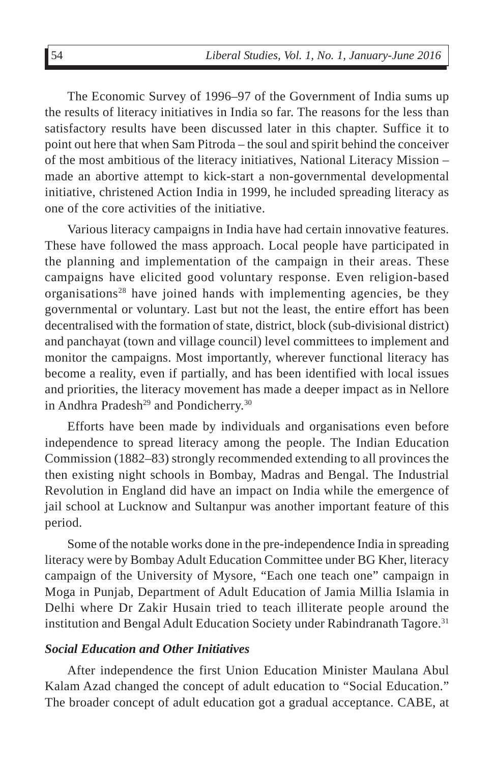The Economic Survey of 1996–97 of the Government of India sums up the results of literacy initiatives in India so far. The reasons for the less than satisfactory results have been discussed later in this chapter. Suffice it to point out here that when Sam Pitroda – the soul and spirit behind the conceiver of the most ambitious of the literacy initiatives, National Literacy Mission – made an abortive attempt to kick-start a non-governmental developmental initiative, christened Action India in 1999, he included spreading literacy as one of the core activities of the initiative.

Various literacy campaigns in India have had certain innovative features. These have followed the mass approach. Local people have participated in the planning and implementation of the campaign in their areas. These campaigns have elicited good voluntary response. Even religion-based organisations28 have joined hands with implementing agencies, be they governmental or voluntary. Last but not the least, the entire effort has been decentralised with the formation of state, district, block (sub-divisional district) and panchayat (town and village council) level committees to implement and monitor the campaigns. Most importantly, wherever functional literacy has become a reality, even if partially, and has been identified with local issues and priorities, the literacy movement has made a deeper impact as in Nellore in Andhra Pradesh<sup>29</sup> and Pondicherry.<sup>30</sup>

Efforts have been made by individuals and organisations even before independence to spread literacy among the people. The Indian Education Commission (1882–83) strongly recommended extending to all provinces the then existing night schools in Bombay, Madras and Bengal. The Industrial Revolution in England did have an impact on India while the emergence of jail school at Lucknow and Sultanpur was another important feature of this period.

Some of the notable works done in the pre-independence India in spreading literacy were by Bombay Adult Education Committee under BG Kher, literacy campaign of the University of Mysore, "Each one teach one" campaign in Moga in Punjab, Department of Adult Education of Jamia Millia Islamia in Delhi where Dr Zakir Husain tried to teach illiterate people around the institution and Bengal Adult Education Society under Rabindranath Tagore.<sup>31</sup>

#### *Social Education and Other Initiatives*

After independence the first Union Education Minister Maulana Abul Kalam Azad changed the concept of adult education to "Social Education." The broader concept of adult education got a gradual acceptance. CABE, at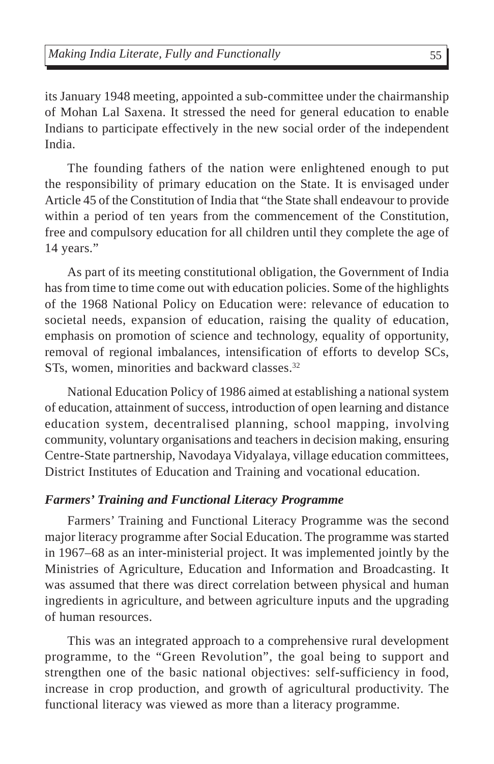its January 1948 meeting, appointed a sub-committee under the chairmanship of Mohan Lal Saxena. It stressed the need for general education to enable Indians to participate effectively in the new social order of the independent India.

The founding fathers of the nation were enlightened enough to put the responsibility of primary education on the State. It is envisaged under Article 45 of the Constitution of India that "the State shall endeavour to provide within a period of ten years from the commencement of the Constitution, free and compulsory education for all children until they complete the age of 14 years."

As part of its meeting constitutional obligation, the Government of India has from time to time come out with education policies. Some of the highlights of the 1968 National Policy on Education were: relevance of education to societal needs, expansion of education, raising the quality of education, emphasis on promotion of science and technology, equality of opportunity, removal of regional imbalances, intensification of efforts to develop SCs, STs, women, minorities and backward classes.<sup>32</sup>

National Education Policy of 1986 aimed at establishing a national system of education, attainment of success, introduction of open learning and distance education system, decentralised planning, school mapping, involving community, voluntary organisations and teachers in decision making, ensuring Centre-State partnership, Navodaya Vidyalaya, village education committees, District Institutes of Education and Training and vocational education.

#### *Farmers' Training and Functional Literacy Programme*

Farmers' Training and Functional Literacy Programme was the second major literacy programme after Social Education. The programme was started in 1967–68 as an inter-ministerial project. It was implemented jointly by the Ministries of Agriculture, Education and Information and Broadcasting. It was assumed that there was direct correlation between physical and human ingredients in agriculture, and between agriculture inputs and the upgrading of human resources.

This was an integrated approach to a comprehensive rural development programme, to the "Green Revolution", the goal being to support and strengthen one of the basic national objectives: self-sufficiency in food, increase in crop production, and growth of agricultural productivity. The functional literacy was viewed as more than a literacy programme.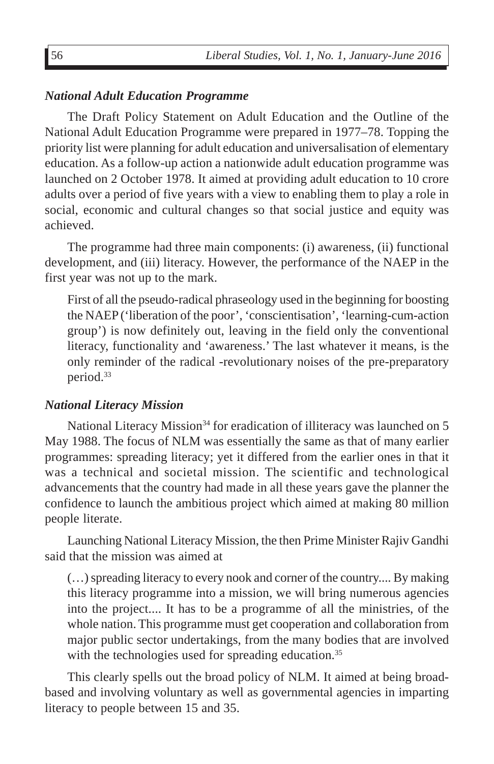#### *National Adult Education Programme*

The Draft Policy Statement on Adult Education and the Outline of the National Adult Education Programme were prepared in 1977–78. Topping the priority list were planning for adult education and universalisation of elementary education. As a follow-up action a nationwide adult education programme was launched on 2 October 1978. It aimed at providing adult education to 10 crore adults over a period of five years with a view to enabling them to play a role in social, economic and cultural changes so that social justice and equity was achieved.

The programme had three main components: (i) awareness, (ii) functional development, and (iii) literacy. However, the performance of the NAEP in the first year was not up to the mark.

First of all the pseudo-radical phraseology used in the beginning for boosting the NAEP ('liberation of the poor', 'conscientisation', 'learning-cum-action group') is now definitely out, leaving in the field only the conventional literacy, functionality and 'awareness.' The last whatever it means, is the only reminder of the radical -revolutionary noises of the pre-preparatory period.33

#### *National Literacy Mission*

National Literacy Mission<sup>34</sup> for eradication of illiteracy was launched on  $5$ May 1988. The focus of NLM was essentially the same as that of many earlier programmes: spreading literacy; yet it differed from the earlier ones in that it was a technical and societal mission. The scientific and technological advancements that the country had made in all these years gave the planner the confidence to launch the ambitious project which aimed at making 80 million people literate.

Launching National Literacy Mission, the then Prime Minister Rajiv Gandhi said that the mission was aimed at

(…) spreading literacy to every nook and corner of the country.... By making this literacy programme into a mission, we will bring numerous agencies into the project.... It has to be a programme of all the ministries, of the whole nation. This programme must get cooperation and collaboration from major public sector undertakings, from the many bodies that are involved with the technologies used for spreading education.<sup>35</sup>

This clearly spells out the broad policy of NLM. It aimed at being broadbased and involving voluntary as well as governmental agencies in imparting literacy to people between 15 and 35.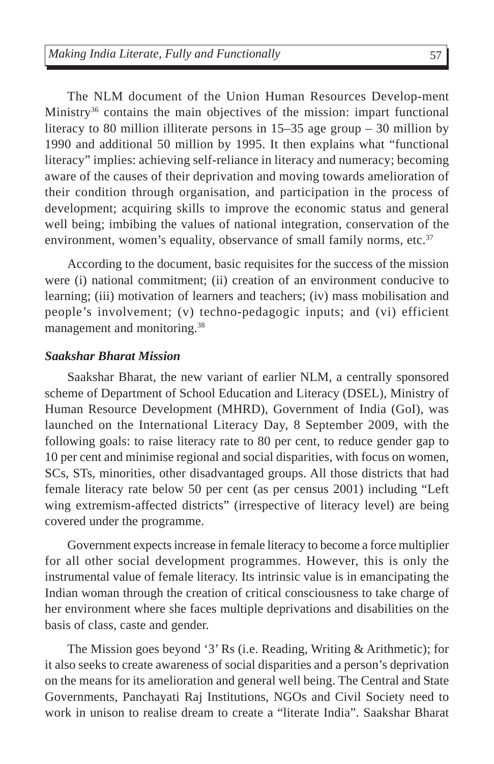The NLM document of the Union Human Resources Develop-ment Ministry<sup>36</sup> contains the main objectives of the mission: impart functional literacy to 80 million illiterate persons in 15–35 age group – 30 million by 1990 and additional 50 million by 1995. It then explains what "functional literacy" implies: achieving self-reliance in literacy and numeracy; becoming aware of the causes of their deprivation and moving towards amelioration of their condition through organisation, and participation in the process of development; acquiring skills to improve the economic status and general well being; imbibing the values of national integration, conservation of the environment, women's equality, observance of small family norms, etc.<sup>37</sup>

According to the document, basic requisites for the success of the mission were (i) national commitment; (ii) creation of an environment conducive to learning; (iii) motivation of learners and teachers; (iv) mass mobilisation and people's involvement; (v) techno-pedagogic inputs; and (vi) efficient management and monitoring.38

#### *Saakshar Bharat Mission*

Saakshar Bharat, the new variant of earlier NLM, a centrally sponsored scheme of Department of School Education and Literacy (DSEL), Ministry of Human Resource Development (MHRD), Government of India (GoI), was launched on the International Literacy Day, 8 September 2009, with the following goals: to raise literacy rate to 80 per cent, to reduce gender gap to 10 per cent and minimise regional and social disparities, with focus on women, SCs, STs, minorities, other disadvantaged groups. All those districts that had female literacy rate below 50 per cent (as per census 2001) including "Left wing extremism-affected districts" (irrespective of literacy level) are being covered under the programme.

Government expects increase in female literacy to become a force multiplier for all other social development programmes. However, this is only the instrumental value of female literacy. Its intrinsic value is in emancipating the Indian woman through the creation of critical consciousness to take charge of her environment where she faces multiple deprivations and disabilities on the basis of class, caste and gender.

The Mission goes beyond '3' Rs (i.e. Reading, Writing & Arithmetic); for it also seeks to create awareness of social disparities and a person's deprivation on the means for its amelioration and general well being. The Central and State Governments, Panchayati Raj Institutions, NGOs and Civil Society need to work in unison to realise dream to create a "literate India". Saakshar Bharat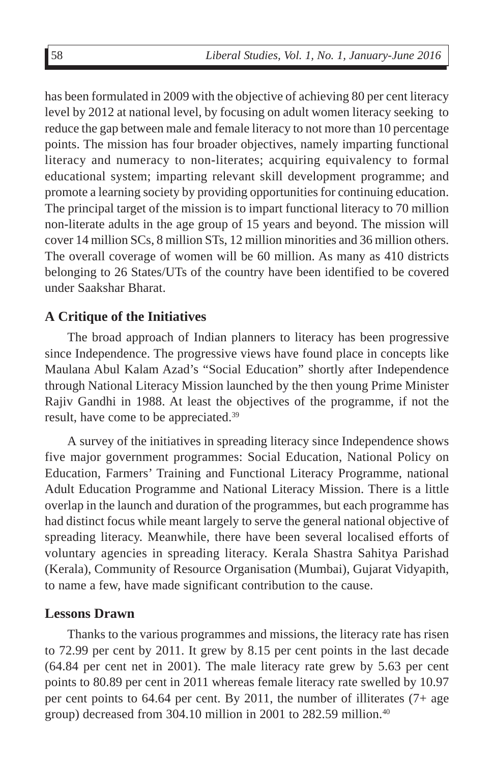has been formulated in 2009 with the objective of achieving 80 per cent literacy level by 2012 at national level, by focusing on adult women literacy seeking to reduce the gap between male and female literacy to not more than 10 percentage points. The mission has four broader objectives, namely imparting functional literacy and numeracy to non-literates; acquiring equivalency to formal educational system; imparting relevant skill development programme; and promote a learning society by providing opportunities for continuing education. The principal target of the mission is to impart functional literacy to 70 million non-literate adults in the age group of 15 years and beyond. The mission will cover 14 million SCs, 8 million STs, 12 million minorities and 36 million others. The overall coverage of women will be 60 million. As many as 410 districts belonging to 26 States/UTs of the country have been identified to be covered under Saakshar Bharat.

#### **A Critique of the Initiatives**

The broad approach of Indian planners to literacy has been progressive since Independence. The progressive views have found place in concepts like Maulana Abul Kalam Azad's "Social Education" shortly after Independence through National Literacy Mission launched by the then young Prime Minister Rajiv Gandhi in 1988. At least the objectives of the programme, if not the result, have come to be appreciated.39

A survey of the initiatives in spreading literacy since Independence shows five major government programmes: Social Education, National Policy on Education, Farmers' Training and Functional Literacy Programme, national Adult Education Programme and National Literacy Mission. There is a little overlap in the launch and duration of the programmes, but each programme has had distinct focus while meant largely to serve the general national objective of spreading literacy. Meanwhile, there have been several localised efforts of voluntary agencies in spreading literacy. Kerala Shastra Sahitya Parishad (Kerala), Community of Resource Organisation (Mumbai), Gujarat Vidyapith, to name a few, have made significant contribution to the cause.

#### **Lessons Drawn**

Thanks to the various programmes and missions, the literacy rate has risen to 72.99 per cent by 2011. It grew by 8.15 per cent points in the last decade (64.84 per cent net in 2001). The male literacy rate grew by 5.63 per cent points to 80.89 per cent in 2011 whereas female literacy rate swelled by 10.97 per cent points to 64.64 per cent. By 2011, the number of illiterates (7+ age group) decreased from 304.10 million in 2001 to 282.59 million.<sup>40</sup>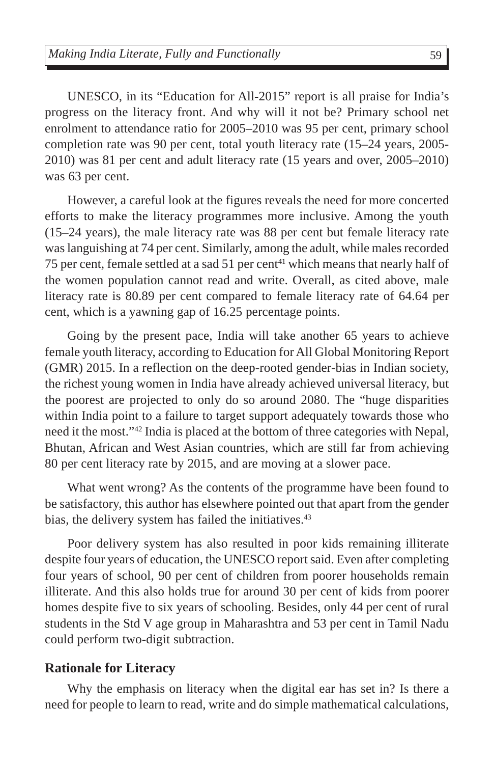UNESCO, in its "Education for All-2015" report is all praise for India's progress on the literacy front. And why will it not be? Primary school net enrolment to attendance ratio for 2005–2010 was 95 per cent, primary school completion rate was 90 per cent, total youth literacy rate (15–24 years, 2005- 2010) was 81 per cent and adult literacy rate (15 years and over, 2005–2010) was 63 per cent.

However, a careful look at the figures reveals the need for more concerted efforts to make the literacy programmes more inclusive. Among the youth (15–24 years), the male literacy rate was 88 per cent but female literacy rate was languishing at 74 per cent. Similarly, among the adult, while males recorded 75 per cent, female settled at a sad 51 per cent<sup>41</sup> which means that nearly half of the women population cannot read and write. Overall, as cited above, male literacy rate is 80.89 per cent compared to female literacy rate of 64.64 per cent, which is a yawning gap of 16.25 percentage points.

Going by the present pace, India will take another 65 years to achieve female youth literacy, according to Education for All Global Monitoring Report (GMR) 2015. In a reflection on the deep-rooted gender-bias in Indian society, the richest young women in India have already achieved universal literacy, but the poorest are projected to only do so around 2080. The "huge disparities within India point to a failure to target support adequately towards those who need it the most."42 India is placed at the bottom of three categories with Nepal, Bhutan, African and West Asian countries, which are still far from achieving 80 per cent literacy rate by 2015, and are moving at a slower pace.

What went wrong? As the contents of the programme have been found to be satisfactory, this author has elsewhere pointed out that apart from the gender bias, the delivery system has failed the initiatives.<sup>43</sup>

Poor delivery system has also resulted in poor kids remaining illiterate despite four years of education, the UNESCO report said. Even after completing four years of school, 90 per cent of children from poorer households remain illiterate. And this also holds true for around 30 per cent of kids from poorer homes despite five to six years of schooling. Besides, only 44 per cent of rural students in the Std V age group in Maharashtra and 53 per cent in Tamil Nadu could perform two-digit subtraction.

#### **Rationale for Literacy**

Why the emphasis on literacy when the digital ear has set in? Is there a need for people to learn to read, write and do simple mathematical calculations,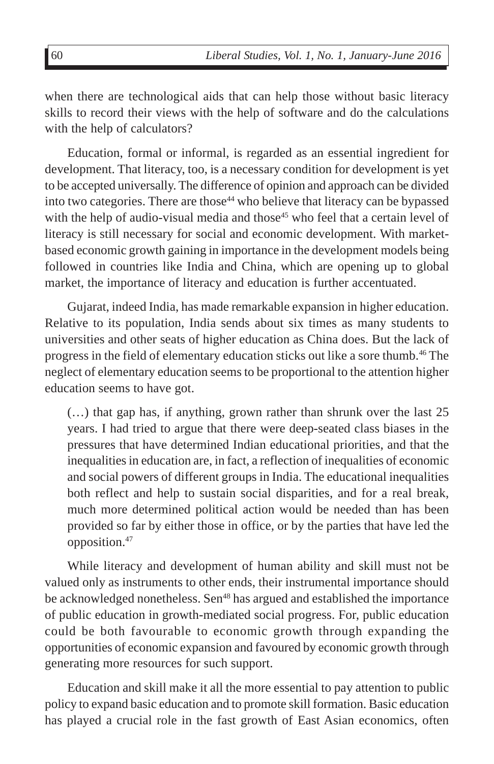when there are technological aids that can help those without basic literacy skills to record their views with the help of software and do the calculations with the help of calculators?

Education, formal or informal, is regarded as an essential ingredient for development. That literacy, too, is a necessary condition for development is yet to be accepted universally. The difference of opinion and approach can be divided into two categories. There are those<sup>44</sup> who believe that literacy can be bypassed with the help of audio-visual media and those<sup>45</sup> who feel that a certain level of literacy is still necessary for social and economic development. With marketbased economic growth gaining in importance in the development models being followed in countries like India and China, which are opening up to global market, the importance of literacy and education is further accentuated.

Gujarat, indeed India, has made remarkable expansion in higher education. Relative to its population, India sends about six times as many students to universities and other seats of higher education as China does. But the lack of progress in the field of elementary education sticks out like a sore thumb.46 The neglect of elementary education seems to be proportional to the attention higher education seems to have got.

(…) that gap has, if anything, grown rather than shrunk over the last 25 years. I had tried to argue that there were deep-seated class biases in the pressures that have determined Indian educational priorities, and that the inequalities in education are, in fact, a reflection of inequalities of economic and social powers of different groups in India. The educational inequalities both reflect and help to sustain social disparities, and for a real break, much more determined political action would be needed than has been provided so far by either those in office, or by the parties that have led the opposition.47

While literacy and development of human ability and skill must not be valued only as instruments to other ends, their instrumental importance should be acknowledged nonetheless. Sen<sup>48</sup> has argued and established the importance of public education in growth-mediated social progress. For, public education could be both favourable to economic growth through expanding the opportunities of economic expansion and favoured by economic growth through generating more resources for such support.

Education and skill make it all the more essential to pay attention to public policy to expand basic education and to promote skill formation. Basic education has played a crucial role in the fast growth of East Asian economics, often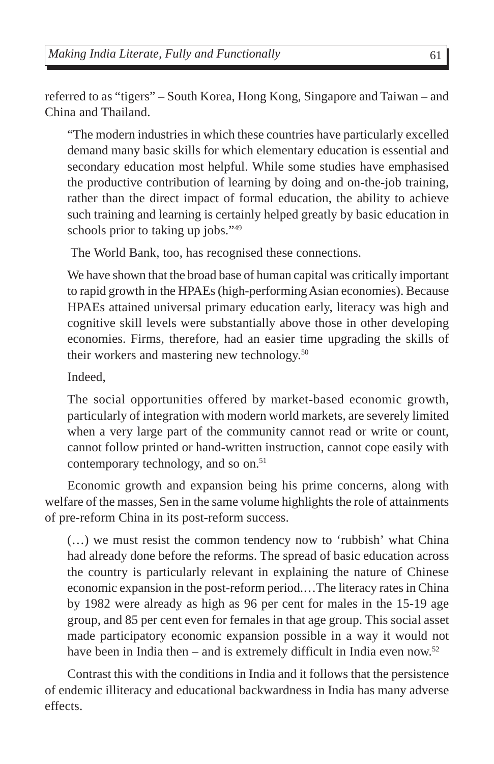referred to as "tigers" – South Korea, Hong Kong, Singapore and Taiwan – and China and Thailand.

"The modern industries in which these countries have particularly excelled demand many basic skills for which elementary education is essential and secondary education most helpful. While some studies have emphasised the productive contribution of learning by doing and on-the-job training, rather than the direct impact of formal education, the ability to achieve such training and learning is certainly helped greatly by basic education in schools prior to taking up jobs."<sup>49</sup>

The World Bank, too, has recognised these connections.

We have shown that the broad base of human capital was critically important to rapid growth in the HPAEs (high-performing Asian economies). Because HPAEs attained universal primary education early, literacy was high and cognitive skill levels were substantially above those in other developing economies. Firms, therefore, had an easier time upgrading the skills of their workers and mastering new technology.<sup>50</sup>

**Indeed** 

The social opportunities offered by market-based economic growth, particularly of integration with modern world markets, are severely limited when a very large part of the community cannot read or write or count, cannot follow printed or hand-written instruction, cannot cope easily with contemporary technology, and so on.<sup>51</sup>

Economic growth and expansion being his prime concerns, along with welfare of the masses, Sen in the same volume highlights the role of attainments of pre-reform China in its post-reform success.

(…) we must resist the common tendency now to 'rubbish' what China had already done before the reforms. The spread of basic education across the country is particularly relevant in explaining the nature of Chinese economic expansion in the post-reform period.…The literacy rates in China by 1982 were already as high as 96 per cent for males in the 15-19 age group, and 85 per cent even for females in that age group. This social asset made participatory economic expansion possible in a way it would not have been in India then – and is extremely difficult in India even now.<sup>52</sup>

Contrast this with the conditions in India and it follows that the persistence of endemic illiteracy and educational backwardness in India has many adverse effects.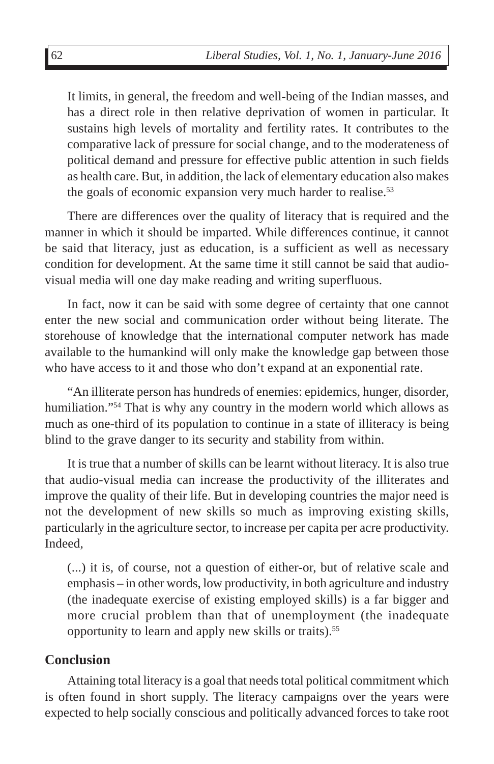It limits, in general, the freedom and well-being of the Indian masses, and has a direct role in then relative deprivation of women in particular. It sustains high levels of mortality and fertility rates. It contributes to the comparative lack of pressure for social change, and to the moderateness of political demand and pressure for effective public attention in such fields as health care. But, in addition, the lack of elementary education also makes the goals of economic expansion very much harder to realise.<sup>53</sup>

There are differences over the quality of literacy that is required and the manner in which it should be imparted. While differences continue, it cannot be said that literacy, just as education, is a sufficient as well as necessary condition for development. At the same time it still cannot be said that audiovisual media will one day make reading and writing superfluous.

In fact, now it can be said with some degree of certainty that one cannot enter the new social and communication order without being literate. The storehouse of knowledge that the international computer network has made available to the humankind will only make the knowledge gap between those who have access to it and those who don't expand at an exponential rate.

"An illiterate person has hundreds of enemies: epidemics, hunger, disorder, humiliation."<sup>54</sup> That is why any country in the modern world which allows as much as one-third of its population to continue in a state of illiteracy is being blind to the grave danger to its security and stability from within.

It is true that a number of skills can be learnt without literacy. It is also true that audio-visual media can increase the productivity of the illiterates and improve the quality of their life. But in developing countries the major need is not the development of new skills so much as improving existing skills, particularly in the agriculture sector, to increase per capita per acre productivity. Indeed,

(...) it is, of course, not a question of either-or, but of relative scale and emphasis – in other words, low productivity, in both agriculture and industry (the inadequate exercise of existing employed skills) is a far bigger and more crucial problem than that of unemployment (the inadequate opportunity to learn and apply new skills or traits).55

#### **Conclusion**

Attaining total literacy is a goal that needs total political commitment which is often found in short supply. The literacy campaigns over the years were expected to help socially conscious and politically advanced forces to take root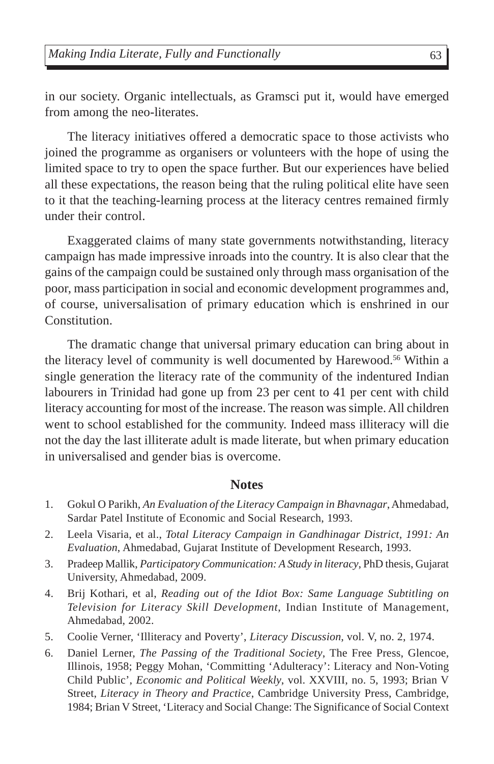in our society. Organic intellectuals, as Gramsci put it, would have emerged from among the neo-literates.

The literacy initiatives offered a democratic space to those activists who joined the programme as organisers or volunteers with the hope of using the limited space to try to open the space further. But our experiences have belied all these expectations, the reason being that the ruling political elite have seen to it that the teaching-learning process at the literacy centres remained firmly under their control.

Exaggerated claims of many state governments notwithstanding, literacy campaign has made impressive inroads into the country. It is also clear that the gains of the campaign could be sustained only through mass organisation of the poor, mass participation in social and economic development programmes and, of course, universalisation of primary education which is enshrined in our Constitution.

The dramatic change that universal primary education can bring about in the literacy level of community is well documented by Harewood.<sup>56</sup> Within a single generation the literacy rate of the community of the indentured Indian labourers in Trinidad had gone up from 23 per cent to 41 per cent with child literacy accounting for most of the increase. The reason was simple. All children went to school established for the community. Indeed mass illiteracy will die not the day the last illiterate adult is made literate, but when primary education in universalised and gender bias is overcome.

#### **Notes**

- 1. Gokul O Parikh, *An Evaluation of the Literacy Campaign in Bhavnagar*, Ahmedabad, Sardar Patel Institute of Economic and Social Research, 1993.
- 2. Leela Visaria, et al., *Total Literacy Campaign in Gandhinagar District, 1991: An Evaluation*, Ahmedabad, Gujarat Institute of Development Research, 1993.
- 3. Pradeep Mallik, *Participatory Communication: A Study in literacy*, PhD thesis, Gujarat University, Ahmedabad, 2009.
- 4. Brij Kothari, et al, *Reading out of the Idiot Box: Same Language Subtitling on Television for Literacy Skill Development*, Indian Institute of Management, Ahmedabad, 2002.
- 5. Coolie Verner, 'Illiteracy and Poverty', *Literacy Discussion*, vol. V, no. 2, 1974.
- 6. Daniel Lerner, *The Passing of the Traditional Society*, The Free Press, Glencoe, Illinois, 1958; Peggy Mohan, 'Committing 'Adulteracy': Literacy and Non-Voting Child Public', *Economic and Political Weekly*, vol. XXVIII, no. 5, 1993; Brian V Street, *Literacy in Theory and Practice*, Cambridge University Press, Cambridge, 1984; Brian V Street, 'Literacy and Social Change: The Significance of Social Context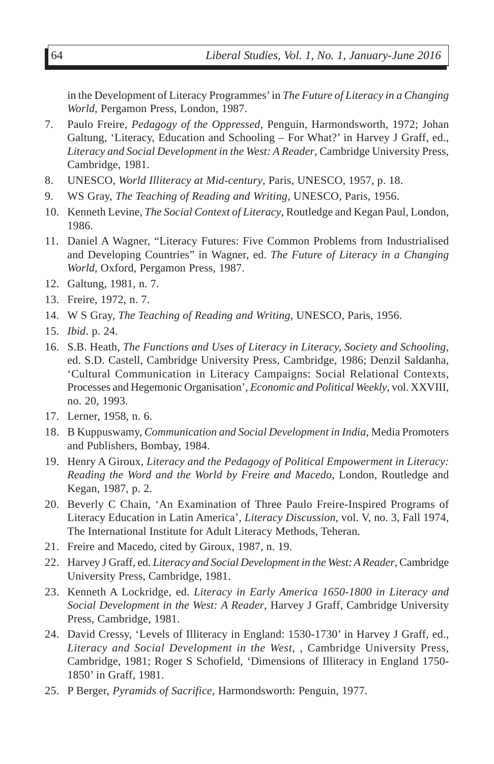in the Development of Literacy Programmes' in *The Future of Literacy in a Changing World*, Pergamon Press, London, 1987.

- 7. Paulo Freire, *Pedagogy of the Oppressed*, Penguin, Harmondsworth, 1972; Johan Galtung, 'Literacy, Education and Schooling – For What?' in Harvey J Graff, ed., *Literacy and Social Development in the West: A Reader*, Cambridge University Press, Cambridge, 1981.
- 8. UNESCO, *World Illiteracy at Mid-century*, Paris, UNESCO, 1957, p. 18.
- 9. WS Gray, *The Teaching of Reading and Writing*, UNESCO, Paris, 1956.
- 10. Kenneth Levine, *The Social Context of Literacy*, Routledge and Kegan Paul, London, 1986.
- 11. Daniel A Wagner, "Literacy Futures: Five Common Problems from Industrialised and Developing Countries" in Wagner, ed. *The Future of Literacy in a Changing World*, Oxford, Pergamon Press, 1987.
- 12. Galtung, 1981, n. 7.
- 13. Freire, 1972, n. 7.
- 14. W S Gray, *The Teaching of Reading and Writing*, UNESCO, Paris, 1956.
- 15. *Ibid*. p. 24.
- 16. S.B. Heath, *The Functions and Uses of Literacy in Literacy, Society and Schooling*, ed. S.D. Castell, Cambridge University Press, Cambridge, 1986; Denzil Saldanha, 'Cultural Communication in Literacy Campaigns: Social Relational Contexts, Processes and Hegemonic Organisation', *Economic and Political Weekly*, vol. XXVIII, no. 20, 1993.
- 17. Lerner, 1958, n. 6.
- 18. B Kuppuswamy, *Communication and Social Development in India*, Media Promoters and Publishers, Bombay, 1984.
- 19. Henry A Giroux, *Literacy and the Pedagogy of Political Empowerment in Literacy: Reading the Word and the World by Freire and Macedo*, London, Routledge and Kegan, 1987, p. 2.
- 20. Beverly C Chain, 'An Examination of Three Paulo Freire-Inspired Programs of Literacy Education in Latin America', *Literacy Discussion*, vol. V, no. 3, Fall 1974, The International Institute for Adult Literacy Methods, Teheran.
- 21. Freire and Macedo, cited by Giroux, 1987, n. 19.
- 22. Harvey J Graff, ed. *Literacy and Social Development in the West: A Reader*, Cambridge University Press, Cambridge, 1981.
- 23. Kenneth A Lockridge, ed. *Literacy in Early America 1650-1800 in Literacy and Social Development in the West: A Reader*, Harvey J Graff, Cambridge University Press, Cambridge, 1981.
- 24. David Cressy, 'Levels of Illiteracy in England: 1530-1730' in Harvey J Graff, ed., *Literacy and Social Development in the West*, , Cambridge University Press, Cambridge, 1981; Roger S Schofield, 'Dimensions of Illiteracy in England 1750- 1850' in Graff, 1981.
- 25. P Berger, *Pyramids of Sacrifice*, Harmondsworth: Penguin, 1977.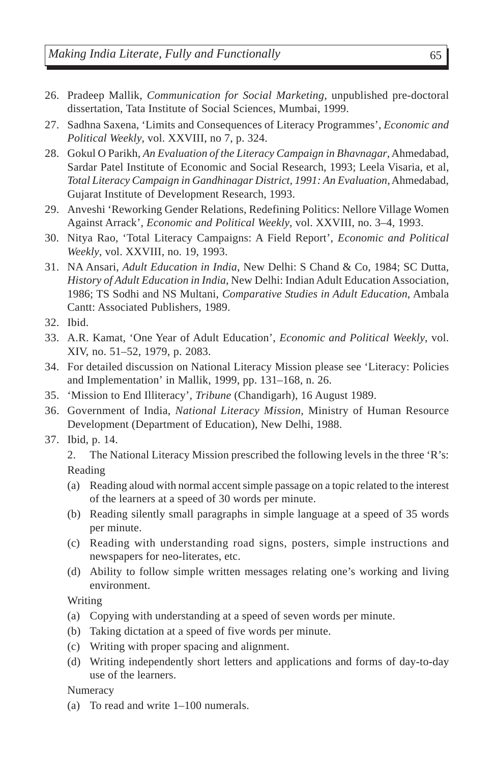- 26. Pradeep Mallik, *Communication for Social Marketing*, unpublished pre-doctoral dissertation, Tata Institute of Social Sciences, Mumbai, 1999.
- 27. Sadhna Saxena, 'Limits and Consequences of Literacy Programmes', *Economic and Political Weekly*, vol. XXVIII, no 7, p. 324.
- 28. Gokul O Parikh, *An Evaluation of the Literacy Campaign in Bhavnagar*, Ahmedabad, Sardar Patel Institute of Economic and Social Research, 1993; Leela Visaria, et al, *Total Literacy Campaign in Gandhinagar District, 1991: An Evaluation*, Ahmedabad, Gujarat Institute of Development Research, 1993.
- 29. Anveshi 'Reworking Gender Relations, Redefining Politics: Nellore Village Women Against Arrack', *Economic and Political Weekly*, vol. XXVIII, no. 3–4, 1993.
- 30. Nitya Rao, 'Total Literacy Campaigns: A Field Report', *Economic and Political Weekly*, vol. XXVIII, no. 19, 1993.
- 31. NA Ansari, *Adult Education in India*, New Delhi: S Chand & Co, 1984; SC Dutta, *History of Adult Education in India*, New Delhi: Indian Adult Education Association, 1986; TS Sodhi and NS Multani, *Comparative Studies in Adult Education*, Ambala Cantt: Associated Publishers, 1989.
- 32. Ibid.
- 33. A.R. Kamat, 'One Year of Adult Education', *Economic and Political Weekly*, vol. XIV, no. 51–52, 1979, p. 2083.
- 34. For detailed discussion on National Literacy Mission please see 'Literacy: Policies and Implementation' in Mallik, 1999, pp. 131–168, n. 26.
- 35. 'Mission to End Illiteracy', *Tribune* (Chandigarh), 16 August 1989.
- 36. Government of India, *National Literacy Mission*, Ministry of Human Resource Development (Department of Education), New Delhi, 1988.
- 37. Ibid, p. 14.

2. The National Literacy Mission prescribed the following levels in the three 'R's: Reading

- (a) Reading aloud with normal accent simple passage on a topic related to the interest of the learners at a speed of 30 words per minute.
- (b) Reading silently small paragraphs in simple language at a speed of 35 words per minute.
- (c) Reading with understanding road signs, posters, simple instructions and newspapers for neo-literates, etc.
- (d) Ability to follow simple written messages relating one's working and living environment.

Writing

- (a) Copying with understanding at a speed of seven words per minute.
- (b) Taking dictation at a speed of five words per minute.
- (c) Writing with proper spacing and alignment.
- (d) Writing independently short letters and applications and forms of day-to-day use of the learners.

Numeracy

(a) To read and write 1–100 numerals.